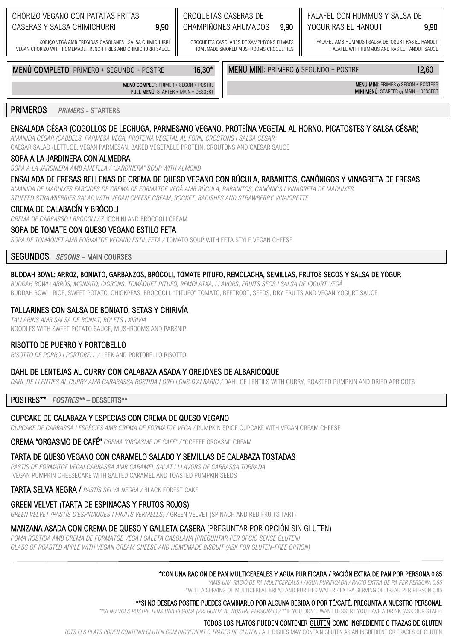#### CHORIZO VEGANO CON PATATAS FRITAS CASERAS Y SALSA CHIMICHURRI

#### CROQUETAS CASERAS DE CHAMPIÑONES AHUMADOS

CROQUETES CASOLANES DE XAMPINYONS ELIMATS HOMEMADE SMOKED MUSHROOMS CROQUETTES

## FALAFEL CON HUMMUS Y SALSA DE YOGUR RAS EL HANOUT

FALÀFEL AMB HUMMUS I SALSA DE IOGURT RAS EL HANOUT FALAFEL WITH HUMMUS AND RAS EL HANOUT SAUCE

XORICO VEGÀ AMB EREGIDAS CASOLANES I SALSA CHIMICHURRI VEGAN CHORIZO WITH HOMEMADE FRENCH FRIES AND CHIMICHURRI SAUCE

MENÚ COMPLETO: PRIMERO + SEGUNDO + POSTRE

MENÚ MINI: PRIMERO 6 SEGUNDO + POSTRE

9.90

MENÚ MINI: PRIMER o SEGON + POSTRES MINI MENÚ: STARTER or MAIN + DESSERT

9.90

12,60

**PRIMEROS PRIMERS - STARTERS** 

## ENSALADA CÉSAR (COGOLLOS DE LECHUGA, PARMESANO VEGANO, PROTEÍNA VEGETAL AL HORNO, PICATOSTES Y SALSA CÉSAR)

16.30\*

AMANIDA CÉSAR (CABDELS, PARMESÀ VEGÀ, PROTEÏNA VEGETAL AL FORN, CROSTONS I SALSA CÉSAR CAESAR SALAD (LETTUCE, VEGAN PARMESAN, BAKED VEGETABLE PROTEIN, CROUTONS AND CAESAR SAUCE

#### SOPA A LA JARDINERA CON ALMEDRA

SOPA A LA JARDINERA AMB AMETLLA / "JARDINERA" SOUP WITH ALMOND

### ENSALADA DE FRESAS RELLENAS DE CREMA DE QUESO VEGANO CON RÚCULA, RABANITOS, CANÓNIGOS Y VINAGRETA DE FRESAS

AMANIDA DE MADUIXES FARCIDES DE CREMA DE FORMATGE VEGÀ AMB RÚCULA, RABANITOS, CANÒNICS I VINAGRETA DE MADUIXES

STUFFED STRAWBERRIES SALAD WITH VEGAN CHEESE CREAM, ROCKET, RADISHES AND STRAWBERRY VINAIGRETTE

9.90

MENÚ COMPLET: PRIMER + SEGON + POSTRE FULL MENÚ: STARTER + MAIN + DESSERT

#### CREMA DE CALABACÍN Y BRÓCOLI

CREMA DE CARBASSÓ I BRÒCOLI / ZUCCHINI AND BROCCOLI CREAM

#### SOPA DE TOMATE CON QUESO VEGANO ESTILO FETA

SOPA DE TOMÀQUET AMB FORMATGE VEGANO ESTIL FETA / TOMATO SOUP WITH FETA STYLE VEGAN CHEESE

**SEGUNDOS** SEGONS - MAIN COURSES

### BUDDAH BOWL: ARROZ, BONIATO, GARBANZOS, BRÓCOLI, TOMATE PITUFO, REMOLACHA, SEMILLAS, FRUTOS SECOS Y SALSA DE YOGUR

BUDDAH BOWL: ARRÒS, MONIATO, CIGRONS, TOMÀQUET PITUFO, REMOLATXA, LLAVORS, FRUITS SECS I SALSA DE IOGURT VEGÀ BUDDAH BOWL: RICE, SWEET POTATO, CHICKPEAS, BROCCOLI, "PITUFO" TOMATO, BEETROOT, SEEDS, DRY FRUITS AND VEGAN YOGURT SAUCE

### TALLARINES CON SALSA DE BONIATO, SETAS Y CHIRIVÍA

TALLARINS AMB SALSA DE BONIAT, BOLETS I XIRIVIA NOODLES WITH SWEET POTATO SAUCE. MUSHROOMS AND PARSNIP

### RISOTTO DE PUERRO Y PORTOBELLO

RISOTTO DE PORRO I PORTOBELL / LEEK AND PORTOBELLO RISOTTO

#### DAHL DE LENTEJAS AL CURRY CON CALABAZA ASADA Y OREJONES DE ALBARICOQUE

DAHL DE LLENTIES AL CURRY AMB CARABASSA ROSTIDA I ORELLONS D'ALBARIC / DAHL OF LENTILS WITH CURRY, ROASTED PUMPKIN AND DRIED APRICOTS

POSTRES\*\* POSTRES\*\*- DESSERTS\*\*

# CUPCAKE DE CALABAZA Y ESPECIAS CON CREMA DE QUESO VEGANO

CUPCAKE DE CARBASSA I ESPÈCIES AMB CREMA DE FORMATGE VEGÀ / PUMPKIN SPICE CUPCAKE WITH VEGAN CREAM CHEESE

**CREMA "ORGASMO DE CAFÉ"** CREMA "ORGASME DE CAFÉ" / "COFFEE ORGASM" CREAM

# TARTA DE QUESO VEGANO CON CARAMELO SALADO Y SEMILLAS DE CALABAZA TOSTADAS

PASTÍS DE FORMATGE VEGÀI CARBASSA AMB CARAMEL SALAT I LLAVORS DE CARBASSA TORRADA VEGAN PUMPKIN CHEESECAKE WITH SALTED CARAMEL AND TOASTED PUMPKIN SEEDS

TARTA SELVA NEGRA / PASTÍS SELVA NEGRA / BLACK FOREST CAKE

# **GREEN VELVET (TARTA DE ESPINACAS Y FRUTOS ROJOS)**

GREEN VELVET (PASTÍS D'ESPINAQUES I FRUITS VERMELLS) / GREEN VELVET (SPINACH AND RED FRUITS TART)

# MANZANA ASADA CON CREMA DE QUESO Y GALLETA CASERA (PREGUNTAR POR OPCIÓN SIN GLUTEN)

POMA ROSTIDA AMB CREMA DE FORMATGE VEGÀ I GALETA CASOLANA (PREGUNTAR PER OPCIÓ SENSE GLUTEN)

GLASS OF ROASTED APPLE WITH VEGAN CREAM CHEESE AND HOMEMADE BISCUIT (ASK FOR GLUTEN-FREE OPTION)

# \*CON UNA RACIÓN DE PAN MULTICEREALES Y AGUA PURIFICADA / RACIÓN EXTRA DE PAN POR PERSONA 0.85

\*AMB UNA RACIÓ DE PA MULTICEREALS I AIGUA PURIFICADA / RACIÓ EXTRA DE PA PER PERSONA 0.85

\*WITH A SERVING OF MULTICEREAL BREAD AND PURIFIED WATER / EXTRA SERVING OF BREAD PER PERSON 0.85\*\*\*

## \*\*SI NO DESEAS POSTRE PUEDES CAMBIARLO POR ALGUNA BEBIDA O POR TÉ/CAFÉ, PREGUNTA A NUESTRO PERSONAL

\*\*SI NO VOLS POSTRE TENS UNA BEGUDA (PREGUNTA AL NOSTRE PERSONAL) /\*\*IF YOU DON'T WANT DESSERT YOU HAVE A DRINK (ASK OUR STAFF)

#### TODOS LOS PLATOS PUEDEN CONTENER GLUTEN COMO INGREDIENTE O TRAZAS DE GLUTEN

TOTS ELS PLATS PODEN CONTENIR GLUTEN COM INGREDIENT O TRACES DE GLUTEN / ALL DISHES MAY CONTAIN GLUTEN AS AN INGREDIENT OR TRACES OF GLUTEN